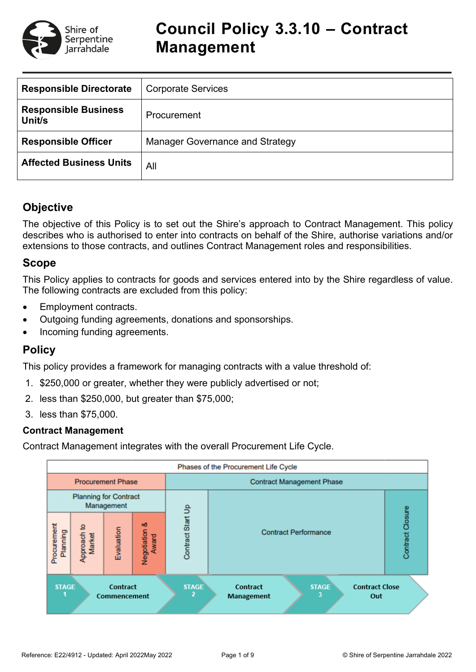

| <b>Responsible Directorate</b>        | <b>Corporate Services</b>              |
|---------------------------------------|----------------------------------------|
| <b>Responsible Business</b><br>Unit/s | Procurement                            |
| <b>Responsible Officer</b>            | <b>Manager Governance and Strategy</b> |
| <b>Affected Business Units</b>        | All                                    |

# **Objective**

The objective of this Policy is to set out the Shire's approach to Contract Management. This policy describes who is authorised to enter into contracts on behalf of the Shire, authorise variations and/or extensions to those contracts, and outlines Contract Management roles and responsibilities.

## **Scope**

This Policy applies to contracts for goods and services entered into by the Shire regardless of value. The following contracts are excluded from this policy:

- Employment contracts.
- Outgoing funding agreements, donations and sponsorships.
- Incoming funding agreements.

# **Policy**

This policy provides a framework for managing contracts with a value threshold of:

- 1. \$250,000 or greater, whether they were publicly advertised or not;
- 2. less than \$250,000, but greater than \$75,000;
- 3. less than \$75,000.

### **Contract Management**

Contract Management integrates with the overall Procurement Life Cycle.

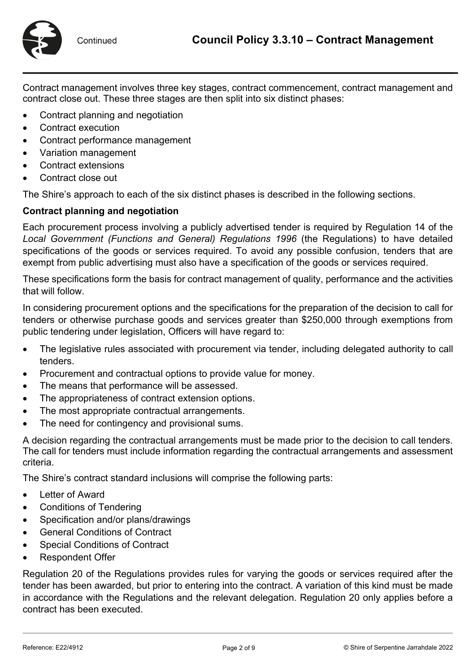

Contract management involves three key stages, contract commencement, contract management and contract close out. These three stages are then split into six distinct phases:

- Contract planning and negotiation
- Contract execution
- Contract performance management
- Variation management
- Contract extensions
- Contract close out

The Shire's approach to each of the six distinct phases is described in the following sections.

# **Contract planning and negotiation**

Each procurement process involving a publicly advertised tender is required by Regulation 14 of the *Local Government (Functions and General) Regulations 1996* (the Regulations) to have detailed specifications of the goods or services required. To avoid any possible confusion, tenders that are exempt from public advertising must also have a specification of the goods or services required.

These specifications form the basis for contract management of quality, performance and the activities that will follow.

In considering procurement options and the specifications for the preparation of the decision to call for tenders or otherwise purchase goods and services greater than \$250,000 through exemptions from public tendering under legislation, Officers will have regard to:

- The legislative rules associated with procurement via tender, including delegated authority to call tenders.
- Procurement and contractual options to provide value for money.
- The means that performance will be assessed.
- The appropriateness of contract extension options.
- The most appropriate contractual arrangements.
- The need for contingency and provisional sums.

A decision regarding the contractual arrangements must be made prior to the decision to call tenders. The call for tenders must include information regarding the contractual arrangements and assessment criteria.

The Shire's contract standard inclusions will comprise the following parts:

- Letter of Award
- Conditions of Tendering
- Specification and/or plans/drawings
- General Conditions of Contract
- Special Conditions of Contract
- Respondent Offer

Regulation 20 of the Regulations provides rules for varying the goods or services required after the tender has been awarded, but prior to entering into the contract. A variation of this kind must be made in accordance with the Regulations and the relevant delegation. Regulation 20 only applies before a contract has been executed.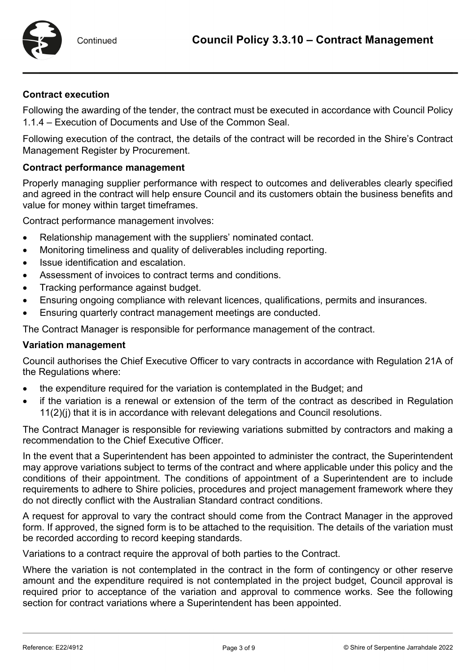

### **Contract execution**

Following the awarding of the tender, the contract must be executed in accordance with Council Policy 1.1.4 – Execution of Documents and Use of the Common Seal.

Following execution of the contract, the details of the contract will be recorded in the Shire's Contract Management Register by Procurement.

### **Contract performance management**

Properly managing supplier performance with respect to outcomes and deliverables clearly specified and agreed in the contract will help ensure Council and its customers obtain the business benefits and value for money within target timeframes.

Contract performance management involves:

- Relationship management with the suppliers' nominated contact.
- Monitoring timeliness and quality of deliverables including reporting.
- Issue identification and escalation.
- Assessment of invoices to contract terms and conditions.
- Tracking performance against budget.
- Ensuring ongoing compliance with relevant licences, qualifications, permits and insurances.
- Ensuring quarterly contract management meetings are conducted.

The Contract Manager is responsible for performance management of the contract.

### **Variation management**

Council authorises the Chief Executive Officer to vary contracts in accordance with Regulation 21A of the Regulations where:

- the expenditure required for the variation is contemplated in the Budget; and
- if the variation is a renewal or extension of the term of the contract as described in Regulation 11(2)(j) that it is in accordance with relevant delegations and Council resolutions.

The Contract Manager is responsible for reviewing variations submitted by contractors and making a recommendation to the Chief Executive Officer.

In the event that a Superintendent has been appointed to administer the contract, the Superintendent may approve variations subject to terms of the contract and where applicable under this policy and the conditions of their appointment. The conditions of appointment of a Superintendent are to include requirements to adhere to Shire policies, procedures and project management framework where they do not directly conflict with the Australian Standard contract conditions.

A request for approval to vary the contract should come from the Contract Manager in the approved form. If approved, the signed form is to be attached to the requisition. The details of the variation must be recorded according to record keeping standards.

Variations to a contract require the approval of both parties to the Contract.

Where the variation is not contemplated in the contract in the form of contingency or other reserve amount and the expenditure required is not contemplated in the project budget, Council approval is required prior to acceptance of the variation and approval to commence works. See the following section for contract variations where a Superintendent has been appointed.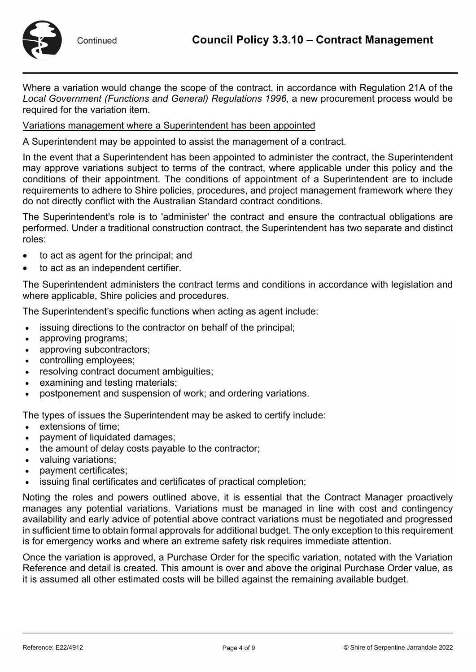

Where a variation would change the scope of the contract, in accordance with Regulation 21A of the *Local Government (Functions and General) Regulations 1996*, a new procurement process would be required for the variation item.

### Variations management where a Superintendent has been appointed

A Superintendent may be appointed to assist the management of a contract.

In the event that a Superintendent has been appointed to administer the contract, the Superintendent may approve variations subject to terms of the contract, where applicable under this policy and the conditions of their appointment. The conditions of appointment of a Superintendent are to include requirements to adhere to Shire policies, procedures, and project management framework where they do not directly conflict with the Australian Standard contract conditions.

The Superintendent's role is to 'administer' the contract and ensure the contractual obligations are performed. Under a traditional construction contract, the Superintendent has two separate and distinct roles:

- to act as agent for the principal; and
- to act as an independent certifier.

The Superintendent administers the contract terms and conditions in accordance with legislation and where applicable, Shire policies and procedures.

The Superintendent's specific functions when acting as agent include:

- issuing directions to the contractor on behalf of the principal;
- approving programs;
- approving subcontractors:
- controlling employees;
- resolving contract document ambiguities;
- examining and testing materials;
- postponement and suspension of work; and ordering variations.

The types of issues the Superintendent may be asked to certify include:

- extensions of time;
- payment of liquidated damages;
- the amount of delay costs payable to the contractor;
- valuing variations;
- payment certificates;
- issuing final certificates and certificates of practical completion:

Noting the roles and powers outlined above, it is essential that the Contract Manager proactively manages any potential variations. Variations must be managed in line with cost and contingency availability and early advice of potential above contract variations must be negotiated and progressed in sufficient time to obtain formal approvals for additional budget. The only exception to this requirement is for emergency works and where an extreme safety risk requires immediate attention.

Once the variation is approved, a Purchase Order for the specific variation, notated with the Variation Reference and detail is created. This amount is over and above the original Purchase Order value, as it is assumed all other estimated costs will be billed against the remaining available budget.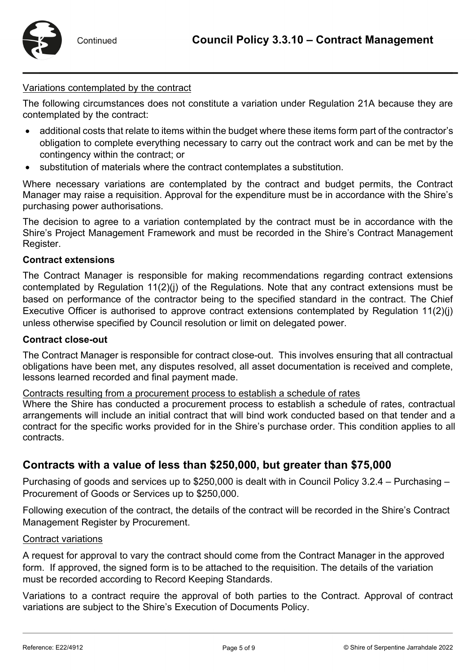

### Variations contemplated by the contract

The following circumstances does not constitute a variation under Regulation 21A because they are contemplated by the contract:

- additional costs that relate to items within the budget where these items form part of the contractor's obligation to complete everything necessary to carry out the contract work and can be met by the contingency within the contract; or
- substitution of materials where the contract contemplates a substitution.

Where necessary variations are contemplated by the contract and budget permits, the Contract Manager may raise a requisition. Approval for the expenditure must be in accordance with the Shire's purchasing power authorisations.

The decision to agree to a variation contemplated by the contract must be in accordance with the Shire's Project Management Framework and must be recorded in the Shire's Contract Management Register.

### **Contract extensions**

The Contract Manager is responsible for making recommendations regarding contract extensions contemplated by Regulation 11(2)(j) of the Regulations. Note that any contract extensions must be based on performance of the contractor being to the specified standard in the contract. The Chief Executive Officer is authorised to approve contract extensions contemplated by Regulation 11(2)(j) unless otherwise specified by Council resolution or limit on delegated power.

#### **Contract close-out**

The Contract Manager is responsible for contract close-out. This involves ensuring that all contractual obligations have been met, any disputes resolved, all asset documentation is received and complete, lessons learned recorded and final payment made.

Contracts resulting from a procurement process to establish a schedule of rates

Where the Shire has conducted a procurement process to establish a schedule of rates, contractual arrangements will include an initial contract that will bind work conducted based on that tender and a contract for the specific works provided for in the Shire's purchase order. This condition applies to all contracts.

## **Contracts with a value of less than \$250,000, but greater than \$75,000**

Purchasing of goods and services up to \$250,000 is dealt with in Council Policy 3.2.4 – Purchasing – Procurement of Goods or Services up to \$250,000.

Following execution of the contract, the details of the contract will be recorded in the Shire's Contract Management Register by Procurement.

#### Contract variations

A request for approval to vary the contract should come from the Contract Manager in the approved form. If approved, the signed form is to be attached to the requisition. The details of the variation must be recorded according to Record Keeping Standards.

Variations to a contract require the approval of both parties to the Contract. Approval of contract variations are subject to the Shire's Execution of Documents Policy.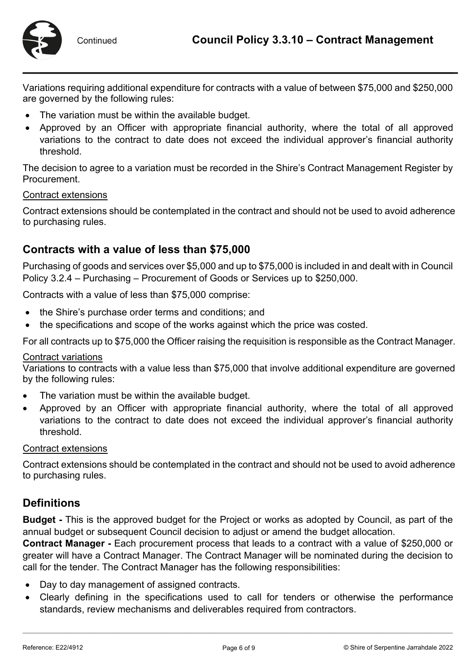

Variations requiring additional expenditure for contracts with a value of between \$75,000 and \$250,000 are governed by the following rules:

- The variation must be within the available budget.
- Approved by an Officer with appropriate financial authority, where the total of all approved variations to the contract to date does not exceed the individual approver's financial authority threshold.

The decision to agree to a variation must be recorded in the Shire's Contract Management Register by Procurement.

### Contract extensions

Contract extensions should be contemplated in the contract and should not be used to avoid adherence to purchasing rules.

## **Contracts with a value of less than \$75,000**

Purchasing of goods and services over \$5,000 and up to \$75,000 is included in and dealt with in Council Policy 3.2.4 – Purchasing – Procurement of Goods or Services up to \$250,000.

Contracts with a value of less than \$75,000 comprise:

- the Shire's purchase order terms and conditions; and
- the specifications and scope of the works against which the price was costed.

For all contracts up to \$75,000 the Officer raising the requisition is responsible as the Contract Manager.

#### Contract variations

Variations to contracts with a value less than \$75,000 that involve additional expenditure are governed by the following rules:

- The variation must be within the available budget.
- Approved by an Officer with appropriate financial authority, where the total of all approved variations to the contract to date does not exceed the individual approver's financial authority threshold.

#### Contract extensions

Contract extensions should be contemplated in the contract and should not be used to avoid adherence to purchasing rules.

### **Definitions**

**Budget -** This is the approved budget for the Project or works as adopted by Council, as part of the annual budget or subsequent Council decision to adjust or amend the budget allocation.

**Contract Manager -** Each procurement process that leads to a contract with a value of \$250,000 or greater will have a Contract Manager. The Contract Manager will be nominated during the decision to call for the tender. The Contract Manager has the following responsibilities:

- Day to day management of assigned contracts.
- Clearly defining in the specifications used to call for tenders or otherwise the performance standards, review mechanisms and deliverables required from contractors.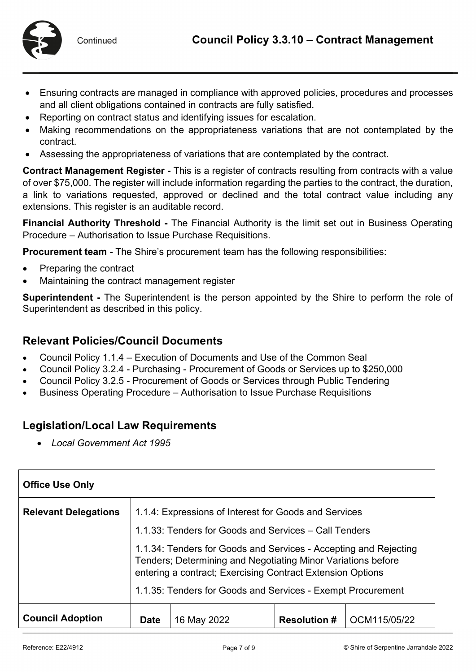

- Ensuring contracts are managed in compliance with approved policies, procedures and processes and all client obligations contained in contracts are fully satisfied.
- Reporting on contract status and identifying issues for escalation.
- Making recommendations on the appropriateness variations that are not contemplated by the contract.
- Assessing the appropriateness of variations that are contemplated by the contract.

**Contract Management Register -** This is a register of contracts resulting from contracts with a value of over \$75,000. The register will include information regarding the parties to the contract, the duration, a link to variations requested, approved or declined and the total contract value including any extensions. This register is an auditable record.

**Financial Authority Threshold -** The Financial Authority is the limit set out in Business Operating Procedure – Authorisation to Issue Purchase Requisitions.

**Procurement team -** The Shire's procurement team has the following responsibilities:

- Preparing the contract
- Maintaining the contract management register

**Superintendent -** The Superintendent is the person appointed by the Shire to perform the role of Superintendent as described in this policy.

## **Relevant Policies/Council Documents**

- Council Policy 1.1.4 Execution of Documents and Use of the Common Seal
- Council Policy 3.2.4 Purchasing Procurement of Goods or Services up to \$250,000
- Council Policy 3.2.5 Procurement of Goods or Services through Public Tendering
- Business Operating Procedure Authorisation to Issue Purchase Requisitions

# **Legislation/Local Law Requirements**

• *Local Government Act 1995* 

| <b>Office Use Only</b>      |                                                                                                                                                                                                                                                               |             |                     |              |
|-----------------------------|---------------------------------------------------------------------------------------------------------------------------------------------------------------------------------------------------------------------------------------------------------------|-------------|---------------------|--------------|
| <b>Relevant Delegations</b> | 1.1.4: Expressions of Interest for Goods and Services                                                                                                                                                                                                         |             |                     |              |
|                             | 1.1.33: Tenders for Goods and Services – Call Tenders                                                                                                                                                                                                         |             |                     |              |
|                             | 1.1.34: Tenders for Goods and Services - Accepting and Rejecting<br>Tenders; Determining and Negotiating Minor Variations before<br>entering a contract; Exercising Contract Extension Options<br>1.1.35: Tenders for Goods and Services - Exempt Procurement |             |                     |              |
| <b>Council Adoption</b>     | <b>Date</b>                                                                                                                                                                                                                                                   | 16 May 2022 | <b>Resolution #</b> | OCM115/05/22 |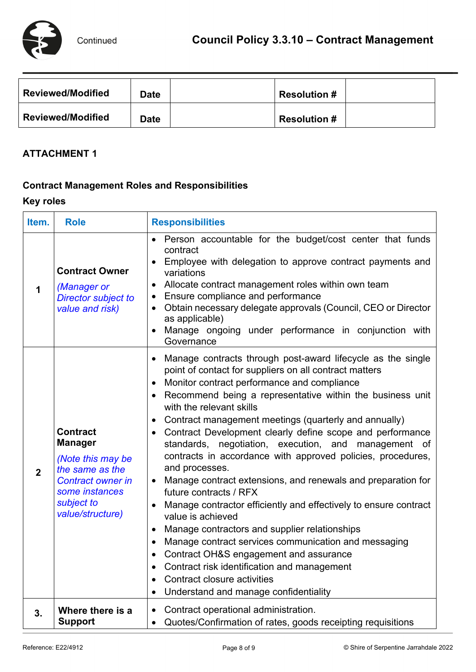

| <b>Reviewed/Modified</b> | <b>Date</b> | <b>Resolution #</b> |  |
|--------------------------|-------------|---------------------|--|
| <b>Reviewed/Modified</b> | <b>Date</b> | <b>Resolution #</b> |  |

## **ATTACHMENT 1**

## **Contract Management Roles and Responsibilities**

# **Key roles**

| Item.          | <b>Role</b>                                                                                                                                               | <b>Responsibilities</b>                                                                                                                                                                                                                                                                                                                                                                                                                                                                                                                                                                                                                                                                                                                                                                                                                                                                                                                                                                                                                                                              |  |
|----------------|-----------------------------------------------------------------------------------------------------------------------------------------------------------|--------------------------------------------------------------------------------------------------------------------------------------------------------------------------------------------------------------------------------------------------------------------------------------------------------------------------------------------------------------------------------------------------------------------------------------------------------------------------------------------------------------------------------------------------------------------------------------------------------------------------------------------------------------------------------------------------------------------------------------------------------------------------------------------------------------------------------------------------------------------------------------------------------------------------------------------------------------------------------------------------------------------------------------------------------------------------------------|--|
| 1              | <b>Contract Owner</b><br>(Manager or<br><b>Director subject to</b><br>value and risk)                                                                     | Person accountable for the budget/cost center that funds<br>contract<br>Employee with delegation to approve contract payments and<br>variations<br>Allocate contract management roles within own team<br>Ensure compliance and performance<br>Obtain necessary delegate approvals (Council, CEO or Director<br>as applicable)<br>Manage ongoing under performance in conjunction with<br>Governance                                                                                                                                                                                                                                                                                                                                                                                                                                                                                                                                                                                                                                                                                  |  |
| $\overline{2}$ | <b>Contract</b><br><b>Manager</b><br>(Note this may be<br>the same as the<br><b>Contract owner in</b><br>some instances<br>subject to<br>value/structure) | Manage contracts through post-award lifecycle as the single<br>$\bullet$<br>point of contact for suppliers on all contract matters<br>Monitor contract performance and compliance<br>Recommend being a representative within the business unit<br>with the relevant skills<br>Contract management meetings (quarterly and annually)<br>$\bullet$<br>Contract Development clearly define scope and performance<br>standards, negotiation, execution, and management of<br>contracts in accordance with approved policies, procedures,<br>and processes.<br>Manage contract extensions, and renewals and preparation for<br>future contracts / RFX<br>Manage contractor efficiently and effectively to ensure contract<br>value is achieved<br>Manage contractors and supplier relationships<br>$\bullet$<br>Manage contract services communication and messaging<br>$\bullet$<br>Contract OH&S engagement and assurance<br>$\bullet$<br>Contract risk identification and management<br>$\bullet$<br>Contract closure activities<br>Understand and manage confidentiality<br>$\bullet$ |  |
| 3.             | Where there is a<br><b>Support</b>                                                                                                                        | • Contract operational administration.<br>Quotes/Confirmation of rates, goods receipting requisitions<br>$\bullet$                                                                                                                                                                                                                                                                                                                                                                                                                                                                                                                                                                                                                                                                                                                                                                                                                                                                                                                                                                   |  |